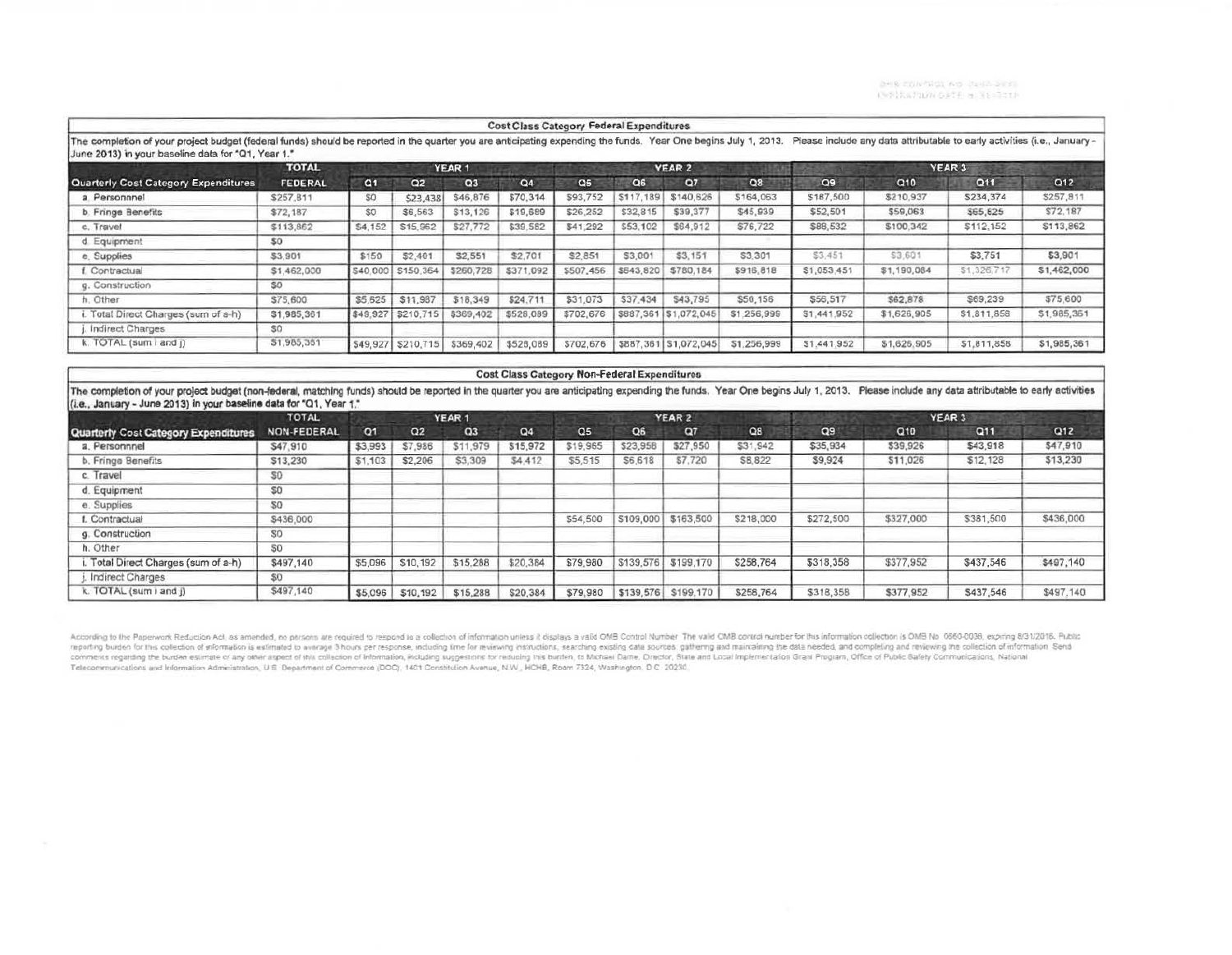**DHIS CONTROL WO (7242-2013) C-Sitarum** GetFiel Waldup

|                                                                                                                                                                                                                       |                |                |                    |                | <b>Cost Class Category Federal Expenditures</b> |                |           |                       |             |                   |                                                                           |             |             |  |
|-----------------------------------------------------------------------------------------------------------------------------------------------------------------------------------------------------------------------|----------------|----------------|--------------------|----------------|-------------------------------------------------|----------------|-----------|-----------------------|-------------|-------------------|---------------------------------------------------------------------------|-------------|-------------|--|
| The completion of your project budget (federal funds) should be reported in the quarter you are anticipating expending the funds. Year One begins July 1, 2013.<br>June 2013) in your baseline data for "Q1, Year 1." |                |                |                    |                |                                                 |                |           |                       |             |                   | Please include any data attributable to early activities (i.e., January - |             |             |  |
|                                                                                                                                                                                                                       | <b>TOTAL</b>   | <b>YEAR1</b>   |                    |                |                                                 |                |           | <b>YEAR 2</b>         |             | YEAR <sub>3</sub> |                                                                           |             |             |  |
| Quarterly Cost Category Expenditures                                                                                                                                                                                  | <b>FEDERAL</b> | C <sub>1</sub> | Q2                 | Q <sub>3</sub> | Q4                                              | Q <sub>5</sub> | C6        | 07                    | O8          | Q9                | Q10                                                                       | Q11         | Q12         |  |
| a Personnnel                                                                                                                                                                                                          | \$257,811      | SO.            | \$23,438           | \$46,876       | \$70,314                                        | \$93.752       | \$117,189 | \$140,626             | \$164,063   | \$187,500         | \$210,937                                                                 | \$234,374   | \$257,811   |  |
| b. Fringe Benefits                                                                                                                                                                                                    | \$72,187       | \$0            | \$6,563            | \$13,126       | \$19,689                                        | \$26,252       | \$32,815  | \$39,377              | \$45,939    | \$52,501          | \$59,063                                                                  | \$65,625    | S72.187     |  |
| c. Travel                                                                                                                                                                                                             | \$113,862      | S4,152         | S15,962            | \$27,772       | \$39,582                                        | \$41,292       | \$53,102  | \$64,912              | \$76,722    | \$88,532          | \$100,342                                                                 | \$112.152   | \$113,862   |  |
| d Equipment                                                                                                                                                                                                           | \$0            |                |                    |                |                                                 |                |           |                       |             |                   |                                                                           |             |             |  |
| e. Supplies                                                                                                                                                                                                           | \$3,901        | \$150          | \$2,401            | \$2,551        | \$2,701                                         | \$2,851        | \$3,001   | \$3,151               | \$3,301     | \$3,451           | \$3,601                                                                   | \$3,751     | \$3,901     |  |
| f. Contractual                                                                                                                                                                                                        | \$1,462,000    |                | S40,000 \$150,364  | \$260,728      | \$371,092                                       | \$507,456      | \$543,820 | \$780,184             | \$916,818   | \$1,053,451       | \$1,190,084                                                               | \$1,326,717 | \$1,462,000 |  |
| g. Construction                                                                                                                                                                                                       | SO.            |                |                    |                |                                                 |                |           |                       |             |                   |                                                                           |             |             |  |
| h. Other                                                                                                                                                                                                              | \$75,600       | \$5,625        | \$11,987           | \$18,349       | \$24.711                                        | \$31,073       | \$37,434  | \$43,795              | \$50,156    | \$56,517          | \$62,878                                                                  | \$69,239    | \$75,600    |  |
| i. Total Direct Charges (sum of a-h)                                                                                                                                                                                  | \$1,985,361    | \$49,927       | \$210,715          | \$369,402      | \$528,089                                       | \$702,676      |           | \$887,361 \$1,072,045 | \$1,256,999 | \$1,441,952       | \$1,626,905                                                               | \$1,811,858 | \$1,985,351 |  |
| Indirect Charges                                                                                                                                                                                                      | S0             |                |                    |                |                                                 |                |           |                       |             |                   |                                                                           |             |             |  |
| k. TOTAL (sum i and i)                                                                                                                                                                                                | \$1,985,351    |                | \$49,927 \$210,715 | \$369,402      | \$528,089                                       | \$702.676      |           | \$887,361 \$1,072,045 | \$1,256,999 | \$1,441,952       | \$1,626,905                                                               | \$1,811,858 | \$1,985,361 |  |

#### Cost Class Category Non-Federal Expenditures

The completion of your project budget (non-federal, matching funds) should be reported in the quarter you are anticipating expending the funds. Year One begins July 1, 2013. Please include any data attributable to early ac (i.e., January - June 2013) in your baseline data for "Q1, Year 1."

|                                      | <b>TOTAL</b>       | YEAR 1         |          |                |          |                |                | YEAR 2    |           | YEAR 3         |           |            |                 |
|--------------------------------------|--------------------|----------------|----------|----------------|----------|----------------|----------------|-----------|-----------|----------------|-----------|------------|-----------------|
| Quarterly Cost Category Expenditures | <b>NON-FEDERAL</b> | O <sub>1</sub> | Q2       | Q <sub>3</sub> | Q4       | Q <sub>5</sub> | Q <sub>6</sub> | Q7        | Q8        | Q <sub>9</sub> | Q10       | <b>Q11</b> | Q <sub>12</sub> |
| a. Personnnel                        | \$47,910           | \$3,993        | \$7,986  | \$11,979       | \$15,972 | \$19,965       | \$23,958       | \$27,950  | \$31,942  | \$35,934       | \$39,926  | \$43,918   | \$47,910        |
| b. Fringe Benefits                   | \$13,230           | \$1,103        | \$2,206  | \$3,309        | \$4,412  | \$5,515        | S6.618         | \$7,720   | \$8,822   | \$9,924        | \$11,026  | \$12,128   | \$13,230        |
| c. Travel                            | 50                 |                |          |                |          |                |                |           |           |                |           |            |                 |
| d. Equipment                         | S0                 |                |          |                |          |                |                |           |           |                |           |            |                 |
| e. Supplies                          | SO.                |                |          |                |          |                |                |           |           |                |           |            |                 |
| I. Contractual                       | \$436,000          |                |          |                |          | \$54,500       | \$109,000      | \$163,500 | \$218,000 | \$272,500      | \$327,000 | \$381,500  | \$436,000       |
| g. Construction                      | SO.                |                |          |                |          |                |                |           |           |                |           |            |                 |
| h. Other                             | 50                 |                |          |                |          |                |                |           |           |                |           |            |                 |
| Total Direct Charges (sum of a-h)    | \$497,140          | \$5,096        | \$10,192 | \$15,288       | \$20,384 | \$79,980       | \$139,576      | \$199,170 | \$258,764 | \$318,358      | \$377,952 | \$437,546  | \$497,140       |
| Indirect Charges                     | 80                 |                |          |                |          |                |                |           |           |                |           |            |                 |
| k. TOTAL (sum ) and i)               | \$497,140          | \$5,096        | \$10,192 | \$15,288       | \$20,384 | \$79,980       | \$139,576      | \$199,170 | \$258,764 | \$318,358      | \$377,952 | \$437,546  | \$497,140       |

According to the Paperwork Reduction Act, as amended, no persons are required to respond to a collection of information unless it eigings a valid OMB Control Number. The valid OMB control number for this information clue t Telecommunications and Information Administration, U.S. Department of Commerce (DOC), 1401 Constitution Avenue, N.W., HCHB, Room 7324, Washington, D.C. 20230.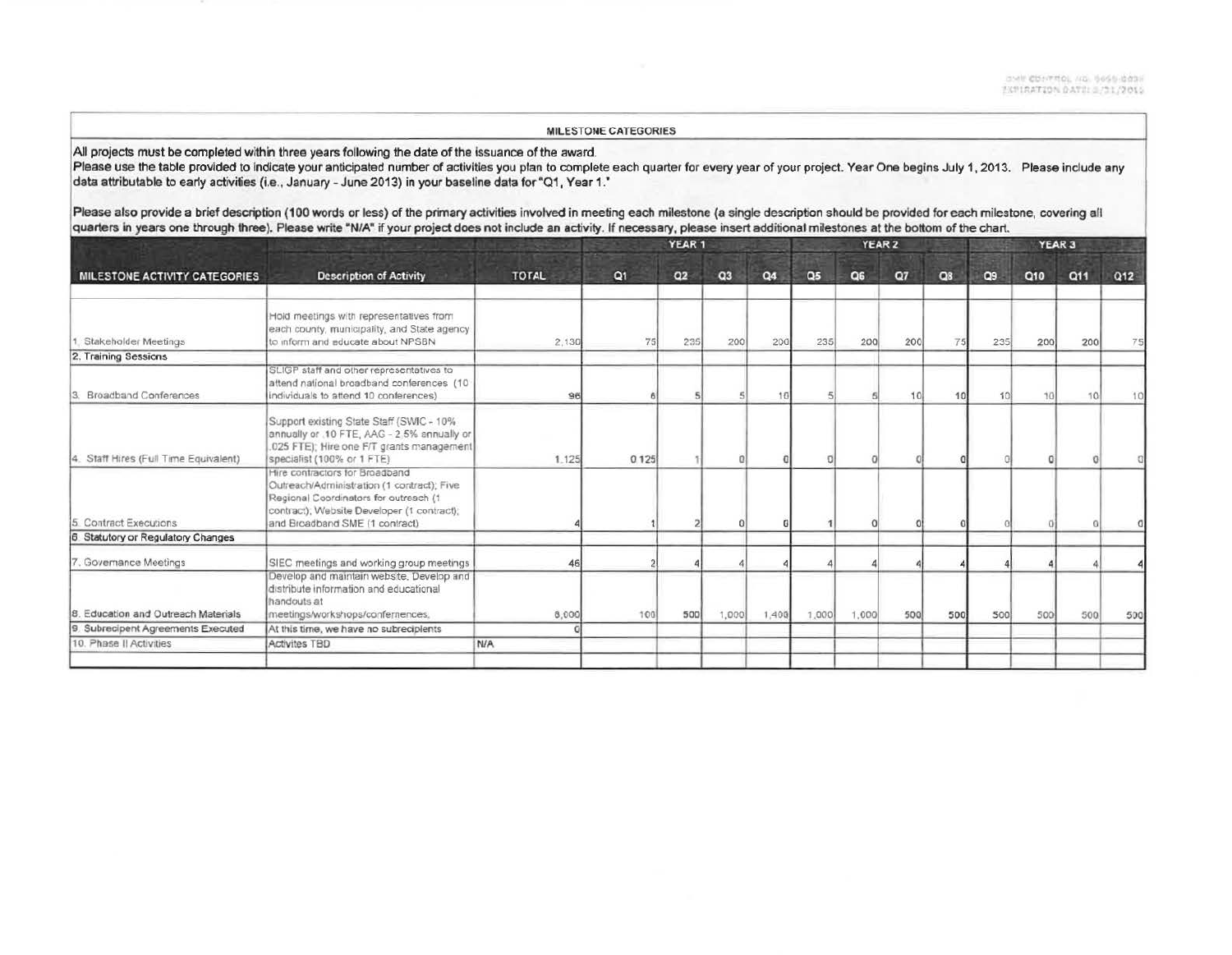#### MILESTONE CATEGORIES

All projects must be completed within three years following the date of the issuance of the award.

Please use the table provided to indicate your anticipated number of activities you plan to complete each quarter for every year of your project. Year One begins July 1, 2013. Please include any data attributable to early activities (i.e., January - June 2013) in your baseline data for "Q1, Year 1."

Please also provide a brief description (100 words or less) of the primary activities involved in meeting each milestone (a single description should be provided for each milestone, covering all quarters in years one through three). Please write "N/A" if your project does not include an activity. If necessary, please insert additional milestones at the bottom of the chart.

|                                                                                                                                                                                                       |                                          |                |    |            |        |                |              | YEAR 3       |                        |                   |     |     |     |
|-------------------------------------------------------------------------------------------------------------------------------------------------------------------------------------------------------|------------------------------------------|----------------|----|------------|--------|----------------|--------------|--------------|------------------------|-------------------|-----|-----|-----|
| <b>Description of Activity</b><br>MILESTONE ACTIVITY CATEGORIES                                                                                                                                       | <b>TOTAL</b>                             | Q <sub>1</sub> | Q2 | Q3         | Q4     | Q <sub>5</sub> | Q6           | Q7           | Q8                     | Q9                | Q10 | Q11 | Q12 |
| Hold meetings with representatives from<br>each county, municipality, and State agency<br>to inform and educate about NPSBN                                                                           | 2,130                                    | 75             |    | 200        |        |                |              |              |                        |                   | 200 | 200 |     |
|                                                                                                                                                                                                       |                                          |                |    |            |        |                |              |              |                        |                   |     |     |     |
| attend national broadband conferences (10<br>individuals to attend 10 conferences)                                                                                                                    | 96                                       |                |    |            | 4.8    |                |              | -10          |                        |                   |     |     |     |
| Support existing State Staff (SWIC - 10%<br>annually or .10 FTE, AAG - 2.5% annually or<br>.025 FTE); Hire one F/T grants management<br>specialist (100% or 1 FTE)                                    | 1.125                                    | 0.125          |    |            |        |                |              |              |                        |                   |     |     |     |
| Hire contractors for Broadband<br>Outreach/Administration (1 contract); Five<br>Regional Coordinators for outreach (1<br>contract); Website Developer (1 contract);<br>and Broadband SME (1 contract) |                                          |                |    |            |        |                |              |              |                        |                   |     |     |     |
|                                                                                                                                                                                                       |                                          |                |    |            |        |                |              |              |                        |                   |     |     |     |
| SIEC meetings and working group meetings                                                                                                                                                              | 46                                       |                |    |            |        |                |              |              |                        |                   |     |     |     |
| Develop and maintain website, Develop and<br>distribute information and educational<br>handouts at<br>meetings/workshops/confernences.                                                                | 8,000                                    | 100            |    |            |        |                |              |              |                        | 500               | 500 | 500 | 500 |
| At this time, we have no subreciplents                                                                                                                                                                |                                          |                |    |            |        |                |              |              |                        |                   |     |     |     |
| Activites TBD                                                                                                                                                                                         | N/A                                      |                |    |            |        |                |              |              |                        |                   |     |     |     |
|                                                                                                                                                                                                       | SLIGP staff and other representatives to |                |    | 235<br>500 | YEAR 1 | 1,000          | 200<br>1,400 | 235<br>1,000 | YEAR 2<br>200<br>1,000 | 200<br>500<br>500 |     | 235 |     |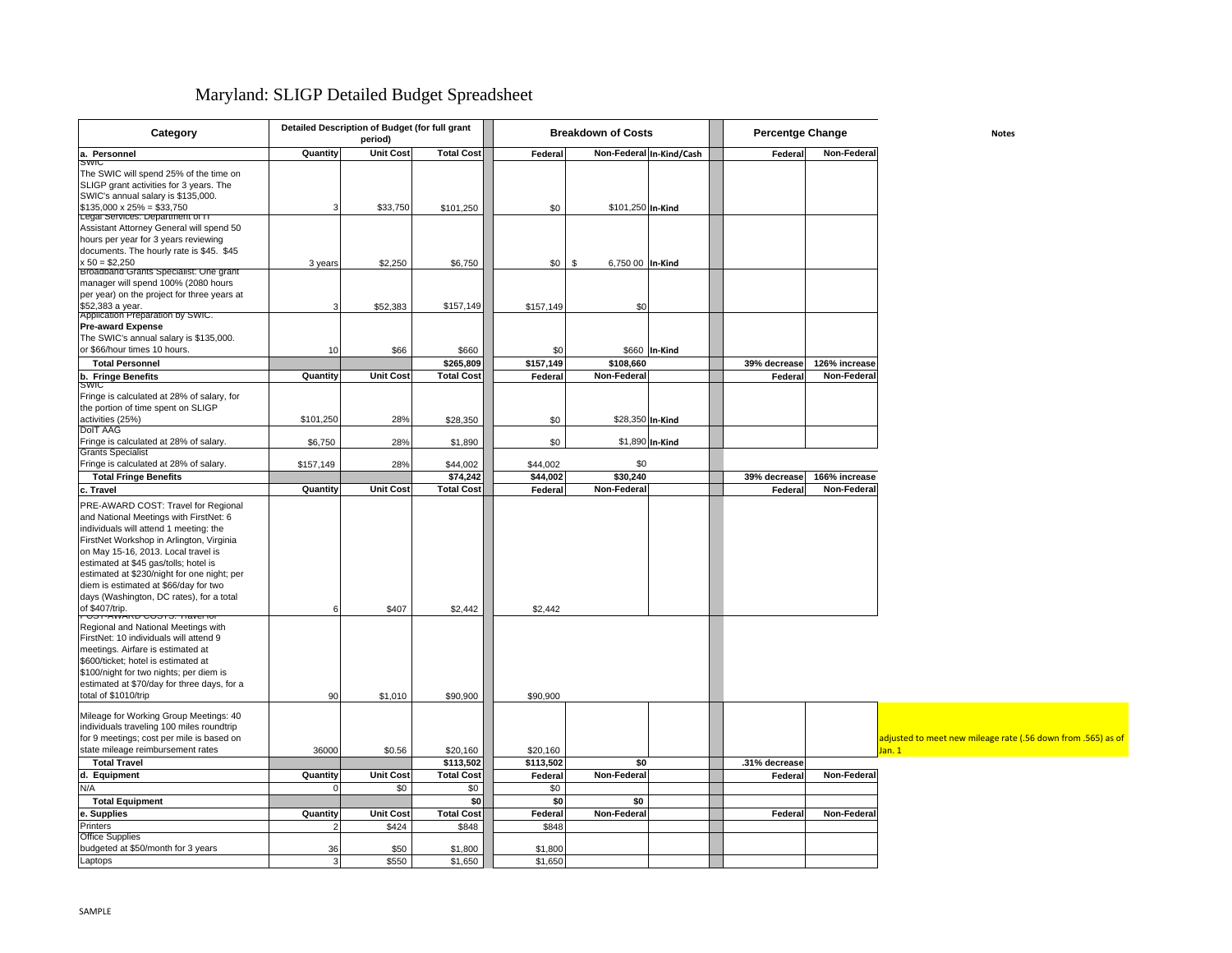## Maryland: SLIGP Detailed Budget Spreadsheet

| Category                                                                                                                                                                                                                                                                                                                                                                                                  |           | Detailed Description of Budget (for full grant<br>period) |                            | <b>Breakdown of Costs</b> |                        |                          | Percentge Change |               | <b>Notes</b>                                                          |
|-----------------------------------------------------------------------------------------------------------------------------------------------------------------------------------------------------------------------------------------------------------------------------------------------------------------------------------------------------------------------------------------------------------|-----------|-----------------------------------------------------------|----------------------------|---------------------------|------------------------|--------------------------|------------------|---------------|-----------------------------------------------------------------------|
| a. Personnel                                                                                                                                                                                                                                                                                                                                                                                              | Quantity  | <b>Unit Cost</b>                                          | <b>Total Cost</b>          | Federal                   |                        | Non-Federal In-Kind/Cash | Federal          | Non-Federal   |                                                                       |
| SWIC<br>The SWIC will spend 25% of the time on<br>SLIGP grant activities for 3 years. The<br>SWIC's annual salary is \$135,000.<br>$$135,000 \times 25\% = $33,750$                                                                                                                                                                                                                                       | f.        | \$33,750                                                  |                            | \$0                       | \$101,250 In-Kind      |                          |                  |               |                                                                       |
| Legal Services: Department of IT<br>Assistant Attorney General will spend 50<br>hours per year for 3 years reviewing                                                                                                                                                                                                                                                                                      |           |                                                           | \$101,250                  |                           |                        |                          |                  |               |                                                                       |
| documents. The hourly rate is \$45. \$45<br>$x 50 = $2,250$<br>Broadband Grants Specialist: One grant                                                                                                                                                                                                                                                                                                     | 3 years   | \$2,250                                                   | \$6,750                    | \$0                       | \$<br>6,750 00 In-Kind |                          |                  |               |                                                                       |
| manager will spend 100% (2080 hours<br>per year) on the project for three years at<br>\$52,383 a year.<br>Application Preparation by SWIC.                                                                                                                                                                                                                                                                | Э         | \$52,383                                                  | \$157,149                  | \$157,149                 | \$0                    |                          |                  |               |                                                                       |
| <b>Pre-award Expense</b><br>The SWIC's annual salary is \$135,000.<br>or \$66/hour times 10 hours.                                                                                                                                                                                                                                                                                                        | 10        | \$66                                                      | \$660                      | \$0                       |                        | \$660 In-Kind            |                  |               |                                                                       |
| <b>Total Personnel</b>                                                                                                                                                                                                                                                                                                                                                                                    |           |                                                           | \$265,809                  | \$157,149                 | \$108,660              |                          | 39% decrease     | 126% increase |                                                                       |
| b. Fringe Benefits                                                                                                                                                                                                                                                                                                                                                                                        | Quantity  | <b>Unit Cost</b>                                          | <b>Total Cost</b>          | Federal                   | Non-Federal            |                          | Federal          | Non-Federal   |                                                                       |
| <b>SMIC</b><br>Fringe is calculated at 28% of salary, for<br>the portion of time spent on SLIGP<br>activities (25%)                                                                                                                                                                                                                                                                                       | \$101,250 | 28%                                                       | \$28,350                   | \$0                       | \$28,350 In-Kind       |                          |                  |               |                                                                       |
| <b>DoIT AAG</b><br>Fringe is calculated at 28% of salary.<br><b>Grants Specialist</b>                                                                                                                                                                                                                                                                                                                     | \$6,750   | 28%                                                       | \$1,890                    | \$0                       |                        | \$1,890 In-Kind          |                  |               |                                                                       |
| Fringe is calculated at 28% of salary.                                                                                                                                                                                                                                                                                                                                                                    | \$157,149 | 28%                                                       | \$44,002                   | \$44,002                  | \$0                    |                          |                  |               |                                                                       |
| <b>Total Fringe Benefits</b>                                                                                                                                                                                                                                                                                                                                                                              |           |                                                           | \$74,242                   | \$44,002                  | \$30,240               |                          | 39% decrease     | 166% increase |                                                                       |
| c. Travel                                                                                                                                                                                                                                                                                                                                                                                                 | Quantity  | <b>Unit Cost</b>                                          | <b>Total Cost</b>          | Federal                   | Non-Federal            |                          | Federal          | Non-Federal   |                                                                       |
| PRE-AWARD COST: Travel for Regional<br>and National Meetings with FirstNet: 6<br>individuals will attend 1 meeting: the<br>FirstNet Workshop in Arlington, Virginia<br>on May 15-16, 2013. Local travel is<br>estimated at \$45 gas/tolls; hotel is<br>estimated at \$230/night for one night; per<br>diem is estimated at \$66/day for two<br>days (Washington, DC rates), for a total<br>of \$407/trip. |           | \$407                                                     | \$2,442                    | \$2,442                   |                        |                          |                  |               |                                                                       |
| Regional and National Meetings with<br>FirstNet: 10 individuals will attend 9<br>meetings. Airfare is estimated at<br>\$600/ticket; hotel is estimated at<br>\$100/night for two nights; per diem is<br>estimated at \$70/day for three days, for a<br>total of \$1010/trip                                                                                                                               | 90        | \$1,010                                                   | \$90,900                   | \$90,900                  |                        |                          |                  |               |                                                                       |
| Mileage for Working Group Meetings: 40<br>individuals traveling 100 miles roundtrip<br>for 9 meetings; cost per mile is based on<br>state mileage reimbursement rates                                                                                                                                                                                                                                     | 36000     | \$0.56                                                    | \$20,160                   | \$20,160                  |                        |                          |                  |               | adjusted to meet new mileage rate (.56 down from .565) as of<br>Jan.1 |
| <b>Total Travel</b>                                                                                                                                                                                                                                                                                                                                                                                       |           |                                                           | \$113,502                  | \$113,502                 | \$0                    |                          | .31% decrease    |               |                                                                       |
| d. Equipment                                                                                                                                                                                                                                                                                                                                                                                              | Quantity  | <b>Unit Cost</b>                                          | <b>Total Cost</b>          | Federal                   | Non-Federal            |                          | Federa           | Non-Federal   |                                                                       |
| N/A                                                                                                                                                                                                                                                                                                                                                                                                       |           | \$0                                                       | \$0                        | \$0                       |                        |                          |                  |               |                                                                       |
| <b>Total Equipment</b>                                                                                                                                                                                                                                                                                                                                                                                    |           |                                                           | \$0                        | \$0                       | \$0                    |                          |                  |               |                                                                       |
| e. Supplies<br>Printers                                                                                                                                                                                                                                                                                                                                                                                   | Quantity  | <b>Unit Cost</b><br>\$424                                 | <b>Total Cost</b><br>\$848 | Federal<br>\$848          | Non-Federal            |                          | Federal          | Non-Federal   |                                                                       |
| <b>Office Supplies</b>                                                                                                                                                                                                                                                                                                                                                                                    |           |                                                           |                            |                           |                        |                          |                  |               |                                                                       |
| budgeted at \$50/month for 3 years<br>Laptops                                                                                                                                                                                                                                                                                                                                                             | 36        | \$50<br>\$550                                             | \$1,800<br>\$1,650         | \$1,800<br>\$1,650        |                        |                          |                  |               |                                                                       |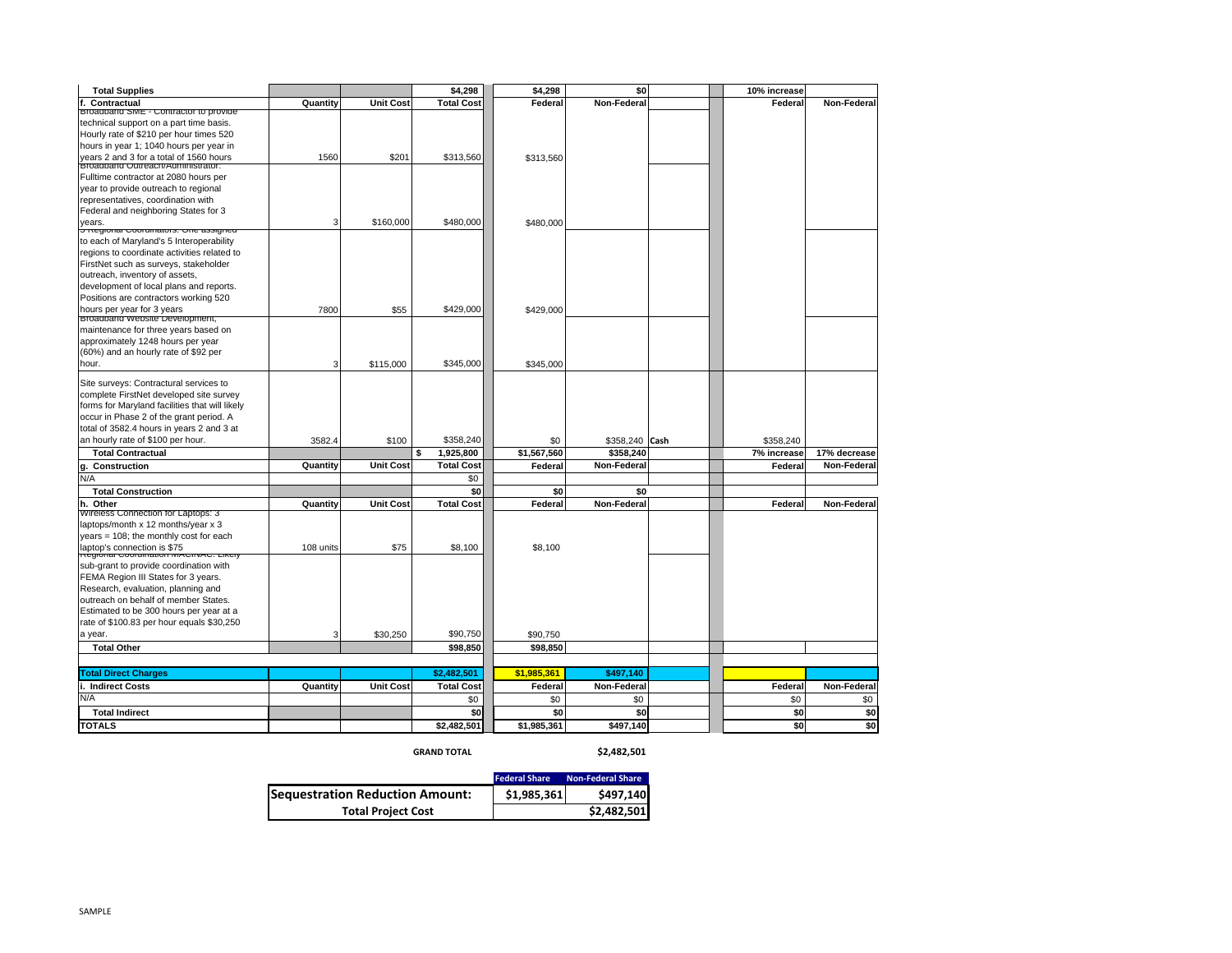| <b>Total Supplies</b>                                                              |           |                  | \$4,298           | \$4,298     | \$0            | 10% increase |              |
|------------------------------------------------------------------------------------|-----------|------------------|-------------------|-------------|----------------|--------------|--------------|
| Contractual                                                                        | Quantity  | <b>Unit Cost</b> | <b>Total Cost</b> | Federal     | Non-Federal    | Federal      | Non-Federal  |
| Broadband SME - Contractor to provide                                              |           |                  |                   |             |                |              |              |
| technical support on a part time basis.<br>Hourly rate of \$210 per hour times 520 |           |                  |                   |             |                |              |              |
| hours in year 1; 1040 hours per year in                                            |           |                  |                   |             |                |              |              |
| years 2 and 3 for a total of 1560 hours                                            | 1560      | \$201            | \$313,560         | \$313,560   |                |              |              |
| Broadbarid Outreach/Administrator:                                                 |           |                  |                   |             |                |              |              |
| Fulltime contractor at 2080 hours per                                              |           |                  |                   |             |                |              |              |
| year to provide outreach to regional                                               |           |                  |                   |             |                |              |              |
| representatives, coordination with                                                 |           |                  |                   |             |                |              |              |
| Federal and neighboring States for 3                                               |           |                  |                   |             |                |              |              |
| years.<br><del>G regional Coorumators. One assigned</del>                          | 3         | \$160,000        | \$480,000         | \$480,000   |                |              |              |
| to each of Maryland's 5 Interoperability                                           |           |                  |                   |             |                |              |              |
| regions to coordinate activities related to                                        |           |                  |                   |             |                |              |              |
| FirstNet such as surveys, stakeholder                                              |           |                  |                   |             |                |              |              |
| outreach, inventory of assets,                                                     |           |                  |                   |             |                |              |              |
| development of local plans and reports.                                            |           |                  |                   |             |                |              |              |
| Positions are contractors working 520                                              |           |                  |                   |             |                |              |              |
| hours per year for 3 years                                                         | 7800      | \$55             | \$429,000         | \$429,000   |                |              |              |
| Broadband website Development,                                                     |           |                  |                   |             |                |              |              |
| maintenance for three years based on                                               |           |                  |                   |             |                |              |              |
| approximately 1248 hours per year                                                  |           |                  |                   |             |                |              |              |
| (60%) and an hourly rate of \$92 per                                               |           |                  |                   |             |                |              |              |
| hour.                                                                              | 3         | \$115,000        | \$345,000         | \$345,000   |                |              |              |
| Site surveys: Contractural services to                                             |           |                  |                   |             |                |              |              |
| complete FirstNet developed site survey                                            |           |                  |                   |             |                |              |              |
| forms for Maryland facilities that will likely                                     |           |                  |                   |             |                |              |              |
| occur in Phase 2 of the grant period. A                                            |           |                  |                   |             |                |              |              |
| total of 3582.4 hours in years 2 and 3 at                                          |           |                  |                   |             |                |              |              |
| an hourly rate of \$100 per hour.                                                  | 3582.4    | \$100            | \$358,240         | \$0         | \$358,240 Cash | \$358,240    |              |
| <b>Total Contractual</b>                                                           |           |                  | \$<br>1.925.800   | \$1,567,560 | \$358.240      | 7% increase  | 17% decrease |
| Construction<br>g.                                                                 | Quantity  | Unit Cost        | <b>Total Cost</b> | Federal     | Non-Federal    | Federal      | Non-Federal  |
| N/A                                                                                |           |                  | \$0               |             |                |              |              |
| <b>Total Construction</b>                                                          |           |                  | \$0               | \$0         | \$0            |              |              |
| h. Other<br>Wireless Connection for Laptops: 3                                     | Quantity  | <b>Unit Cost</b> | <b>Total Cost</b> | Federal     | Non-Federal    | Federal      | Non-Federal  |
| laptops/month x 12 months/year x 3                                                 |           |                  |                   |             |                |              |              |
| years = 108; the monthly cost for each                                             |           |                  |                   |             |                |              |              |
| laptop's connection is \$75                                                        | 108 units | \$75             | \$8,100           | \$8,100     |                |              |              |
| <b>Regiona</b>                                                                     |           |                  |                   |             |                |              |              |
| sub-grant to provide coordination with                                             |           |                  |                   |             |                |              |              |
| FEMA Region III States for 3 years.                                                |           |                  |                   |             |                |              |              |
| Research, evaluation, planning and                                                 |           |                  |                   |             |                |              |              |
| outreach on behalf of member States.                                               |           |                  |                   |             |                |              |              |
| Estimated to be 300 hours per year at a                                            |           |                  |                   |             |                |              |              |
| rate of \$100.83 per hour equals \$30,250                                          |           |                  |                   |             |                |              |              |
| a year.                                                                            | 3         | \$30,250         | \$90,750          | \$90.750    |                |              |              |
| <b>Total Other</b>                                                                 |           |                  | \$98,850          | \$98,850    |                |              |              |
|                                                                                    |           |                  | \$2,482,501       | \$1,985,361 | \$497,140      |              |              |
| <b>Total Direct Charges</b><br>i. Indirect Costs                                   | Quantity  | <b>Unit Cost</b> | <b>Total Cost</b> | Federal     | Non-Federal    | Federal      | Non-Federal  |
| N/A                                                                                |           |                  | \$0               | \$0         | \$0            | \$0          | \$0          |
| <b>Total Indirect</b>                                                              |           |                  | \$0               | \$0         | \$0            | \$0          | \$0          |
| <b>TOTALS</b>                                                                      |           |                  | \$2,482,501       | \$1,985,361 | \$497,140      | \$0          | \$0          |
|                                                                                    |           |                  |                   |             |                |              |              |

**GRAND TOTAL**

**\$2,482,501**

|                                 | <b>Federal Share</b> | <b>Non-Federal Share</b> |  |  |  |
|---------------------------------|----------------------|--------------------------|--|--|--|
| Sequestration Reduction Amount: | \$1.985.361          | \$497,140                |  |  |  |
| <b>Total Project Cost</b>       | \$2,482,501          |                          |  |  |  |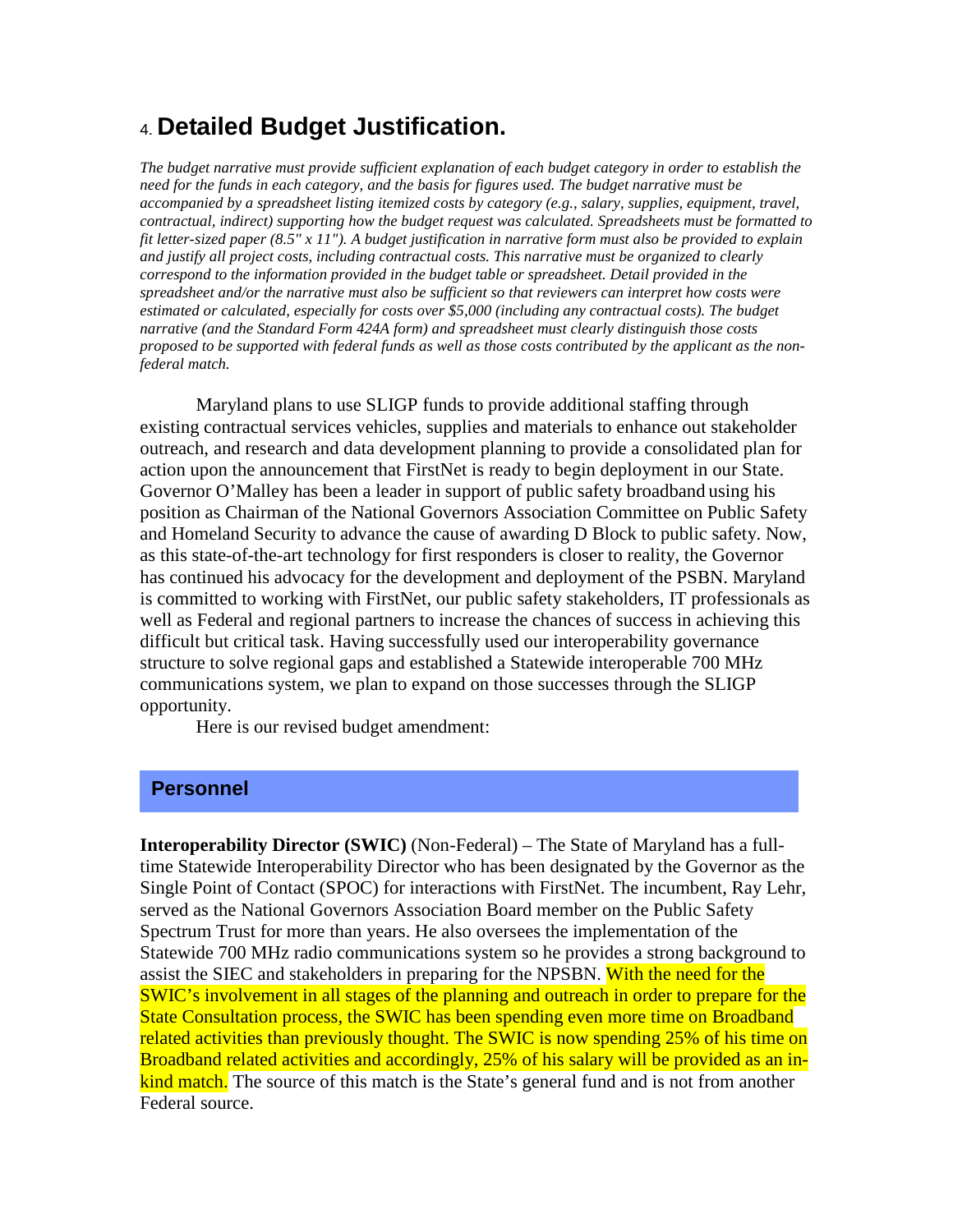# 4. **Detailed Budget Justification.**

*The budget narrative must provide sufficient explanation of each budget category in order to establish the need for the funds in each category, and the basis for figures used. The budget narrative must be accompanied by a spreadsheet listing itemized costs by category (e.g., salary, supplies, equipment, travel, contractual, indirect) supporting how the budget request was calculated. Spreadsheets must be formatted to fit letter-sized paper (8.5" x 11"). A budget justification in narrative form must also be provided to explain and justify all project costs, including contractual costs. This narrative must be organized to clearly correspond to the information provided in the budget table or spreadsheet. Detail provided in the spreadsheet and/or the narrative must also be sufficient so that reviewers can interpret how costs were estimated or calculated, especially for costs over \$5,000 (including any contractual costs). The budget narrative (and the Standard Form 424A form) and spreadsheet must clearly distinguish those costs proposed to be supported with federal funds as well as those costs contributed by the applicant as the nonfederal match.*

Maryland plans to use SLIGP funds to provide additional staffing through existing contractual services vehicles, supplies and materials to enhance out stakeholder outreach, and research and data development planning to provide a consolidated plan for action upon the announcement that FirstNet is ready to begin deployment in our State. Governor O'Malley has been a leader in support of public safety broadband using his position as Chairman of the National Governors Association Committee on Public Safety and Homeland Security to advance the cause of awarding D Block to public safety. Now, as this state-of-the-art technology for first responders is closer to reality, the Governor has continued his advocacy for the development and deployment of the PSBN. Maryland is committed to working with FirstNet, our public safety stakeholders, IT professionals as well as Federal and regional partners to increase the chances of success in achieving this difficult but critical task. Having successfully used our interoperability governance structure to solve regional gaps and established a Statewide interoperable 700 MHz communications system, we plan to expand on those successes through the SLIGP opportunity.

Here is our revised budget amendment:

#### **Personnel**

**Interoperability Director (SWIC)** (Non-Federal) – The State of Maryland has a fulltime Statewide Interoperability Director who has been designated by the Governor as the Single Point of Contact (SPOC) for interactions with FirstNet. The incumbent, Ray Lehr, served as the National Governors Association Board member on the Public Safety Spectrum Trust for more than years. He also oversees the implementation of the Statewide 700 MHz radio communications system so he provides a strong background to assist the SIEC and stakeholders in preparing for the NPSBN. With the need for the SWIC's involvement in all stages of the planning and outreach in order to prepare for the State Consultation process, the SWIC has been spending even more time on Broadband related activities than previously thought. The SWIC is now spending 25% of his time on Broadband related activities and accordingly, 25% of his salary will be provided as an inkind match. The source of this match is the State's general fund and is not from another Federal source.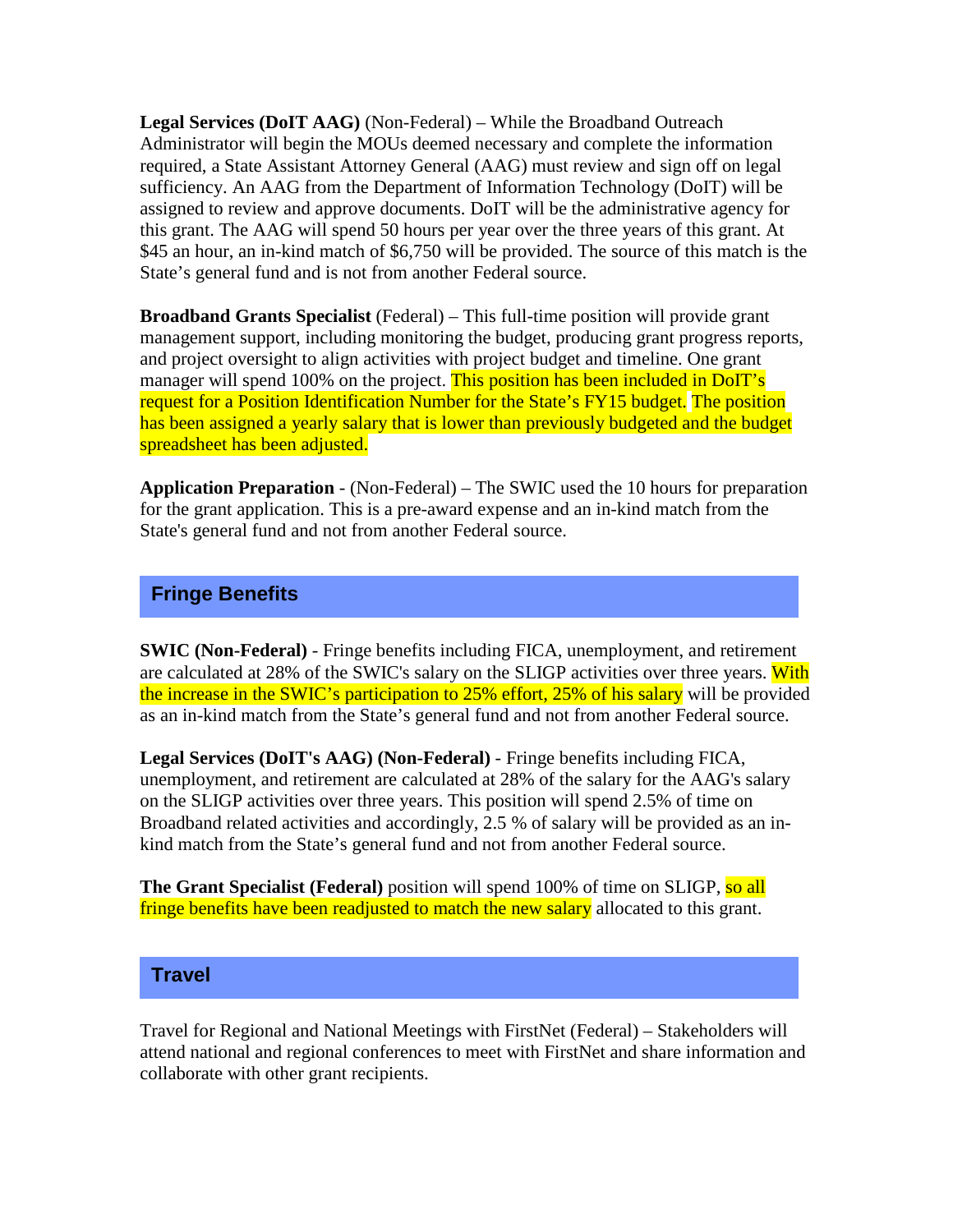**Legal Services (DoIT AAG)** (Non-Federal) – While the Broadband Outreach Administrator will begin the MOUs deemed necessary and complete the information required, a State Assistant Attorney General (AAG) must review and sign off on legal sufficiency. An AAG from the Department of Information Technology (DoIT) will be assigned to review and approve documents. DoIT will be the administrative agency for this grant. The AAG will spend 50 hours per year over the three years of this grant. At \$45 an hour, an in-kind match of \$6,750 will be provided. The source of this match is the State's general fund and is not from another Federal source.

**Broadband Grants Specialist** (Federal) – This full-time position will provide grant management support, including monitoring the budget, producing grant progress reports, and project oversight to align activities with project budget and timeline. One grant manager will spend 100% on the project. This position has been included in DoIT's request for a Position Identification Number for the State's FY15 budget. The position has been assigned a yearly salary that is lower than previously budgeted and the budget spreadsheet has been adjusted.

**Application Preparation** - (Non-Federal) – The SWIC used the 10 hours for preparation for the grant application. This is a pre-award expense and an in-kind match from the State's general fund and not from another Federal source.

## **Fringe Benefits**

**SWIC (Non-Federal)** - Fringe benefits including FICA, unemployment, and retirement are calculated at 28% of the SWIC's salary on the SLIGP activities over three years. With the increase in the SWIC's participation to 25% effort, 25% of his salary will be provided as an in-kind match from the State's general fund and not from another Federal source.

**Legal Services (DoIT's AAG) (Non-Federal)** - Fringe benefits including FICA, unemployment, and retirement are calculated at 28% of the salary for the AAG's salary on the SLIGP activities over three years. This position will spend 2.5% of time on Broadband related activities and accordingly, 2.5 % of salary will be provided as an inkind match from the State's general fund and not from another Federal source.

**The Grant Specialist (Federal)** position will spend 100% of time on SLIGP, so all fringe benefits have been readjusted to match the new salary allocated to this grant.

### **Travel**

Travel for Regional and National Meetings with FirstNet (Federal) – Stakeholders will attend national and regional conferences to meet with FirstNet and share information and collaborate with other grant recipients.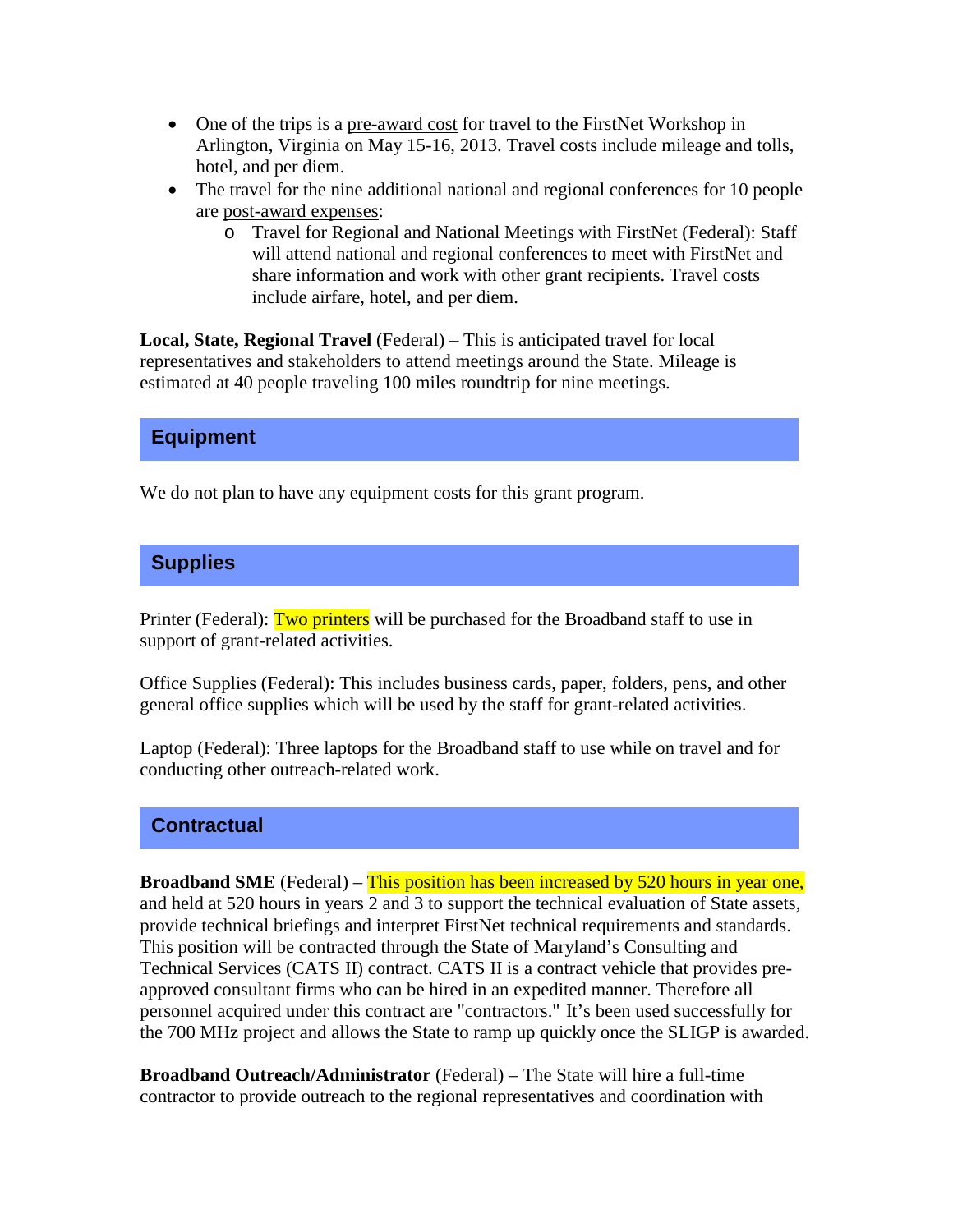- One of the trips is a pre-award cost for travel to the FirstNet Workshop in Arlington, Virginia on May 15-16, 2013. Travel costs include mileage and tolls, hotel, and per diem.
- The travel for the nine additional national and regional conferences for 10 people are post-award expenses:
	- o Travel for Regional and National Meetings with FirstNet (Federal): Staff will attend national and regional conferences to meet with FirstNet and share information and work with other grant recipients. Travel costs include airfare, hotel, and per diem.

**Local, State, Regional Travel** (Federal) – This is anticipated travel for local representatives and stakeholders to attend meetings around the State. Mileage is estimated at 40 people traveling 100 miles roundtrip for nine meetings.

### **Equipment**

We do not plan to have any equipment costs for this grant program.

# **Supplies**

Printer (Federal): Two printers will be purchased for the Broadband staff to use in support of grant-related activities.

Office Supplies (Federal): This includes business cards, paper, folders, pens, and other general office supplies which will be used by the staff for grant-related activities.

Laptop (Federal): Three laptops for the Broadband staff to use while on travel and for conducting other outreach-related work.

### **Contractual**

**Broadband SME** (Federal) – This position has been increased by 520 hours in year one, and held at 520 hours in years 2 and 3 to support the technical evaluation of State assets, provide technical briefings and interpret FirstNet technical requirements and standards. This position will be contracted through the State of Maryland's Consulting and Technical Services (CATS II) contract. CATS II is a contract vehicle that provides preapproved consultant firms who can be hired in an expedited manner. Therefore all personnel acquired under this contract are "contractors." It's been used successfully for the 700 MHz project and allows the State to ramp up quickly once the SLIGP is awarded.

**Broadband Outreach/Administrator** (Federal) – The State will hire a full-time contractor to provide outreach to the regional representatives and coordination with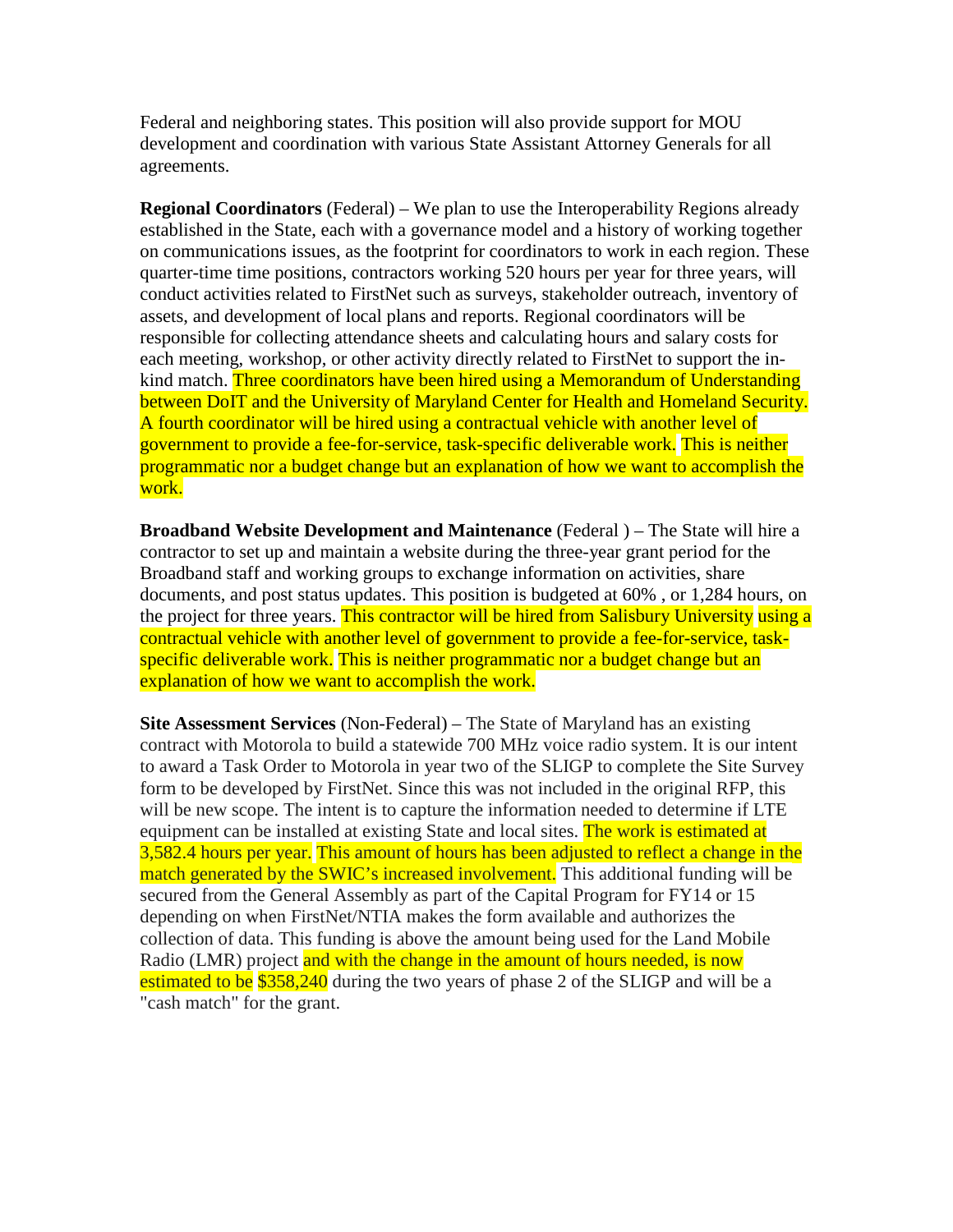Federal and neighboring states. This position will also provide support for MOU development and coordination with various State Assistant Attorney Generals for all agreements.

**Regional Coordinators** (Federal) – We plan to use the Interoperability Regions already established in the State, each with a governance model and a history of working together on communications issues, as the footprint for coordinators to work in each region. These quarter-time time positions, contractors working 520 hours per year for three years, will conduct activities related to FirstNet such as surveys, stakeholder outreach, inventory of assets, and development of local plans and reports. Regional coordinators will be responsible for collecting attendance sheets and calculating hours and salary costs for each meeting, workshop, or other activity directly related to FirstNet to support the inkind match. Three coordinators have been hired using a Memorandum of Understanding between DoIT and the University of Maryland Center for Health and Homeland Security. A fourth coordinator will be hired using a contractual vehicle with another level of government to provide a fee-for-service, task-specific deliverable work. This is neither programmatic nor a budget change but an explanation of how we want to accomplish the work.

**Broadband Website Development and Maintenance** (Federal ) – The State will hire a contractor to set up and maintain a website during the three-year grant period for the Broadband staff and working groups to exchange information on activities, share documents, and post status updates. This position is budgeted at 60% , or 1,284 hours, on the project for three years. This contractor will be hired from Salisbury University using a contractual vehicle with another level of government to provide a fee-for-service, taskspecific deliverable work. This is neither programmatic nor a budget change but an explanation of how we want to accomplish the work.

**Site Assessment Services** (Non-Federal) – The State of Maryland has an existing contract with Motorola to build a statewide 700 MHz voice radio system. It is our intent to award a Task Order to Motorola in year two of the SLIGP to complete the Site Survey form to be developed by FirstNet. Since this was not included in the original RFP, this will be new scope. The intent is to capture the information needed to determine if LTE equipment can be installed at existing State and local sites. The work is estimated at 3,582.4 hours per year. This amount of hours has been adjusted to reflect a change in the match generated by the SWIC's increased involvement. This additional funding will be secured from the General Assembly as part of the Capital Program for FY14 or 15 depending on when FirstNet/NTIA makes the form available and authorizes the collection of data. This funding is above the amount being used for the Land Mobile Radio (LMR) project and with the change in the amount of hours needed, is now estimated to be \$358,240 during the two years of phase 2 of the SLIGP and will be a "cash match" for the grant.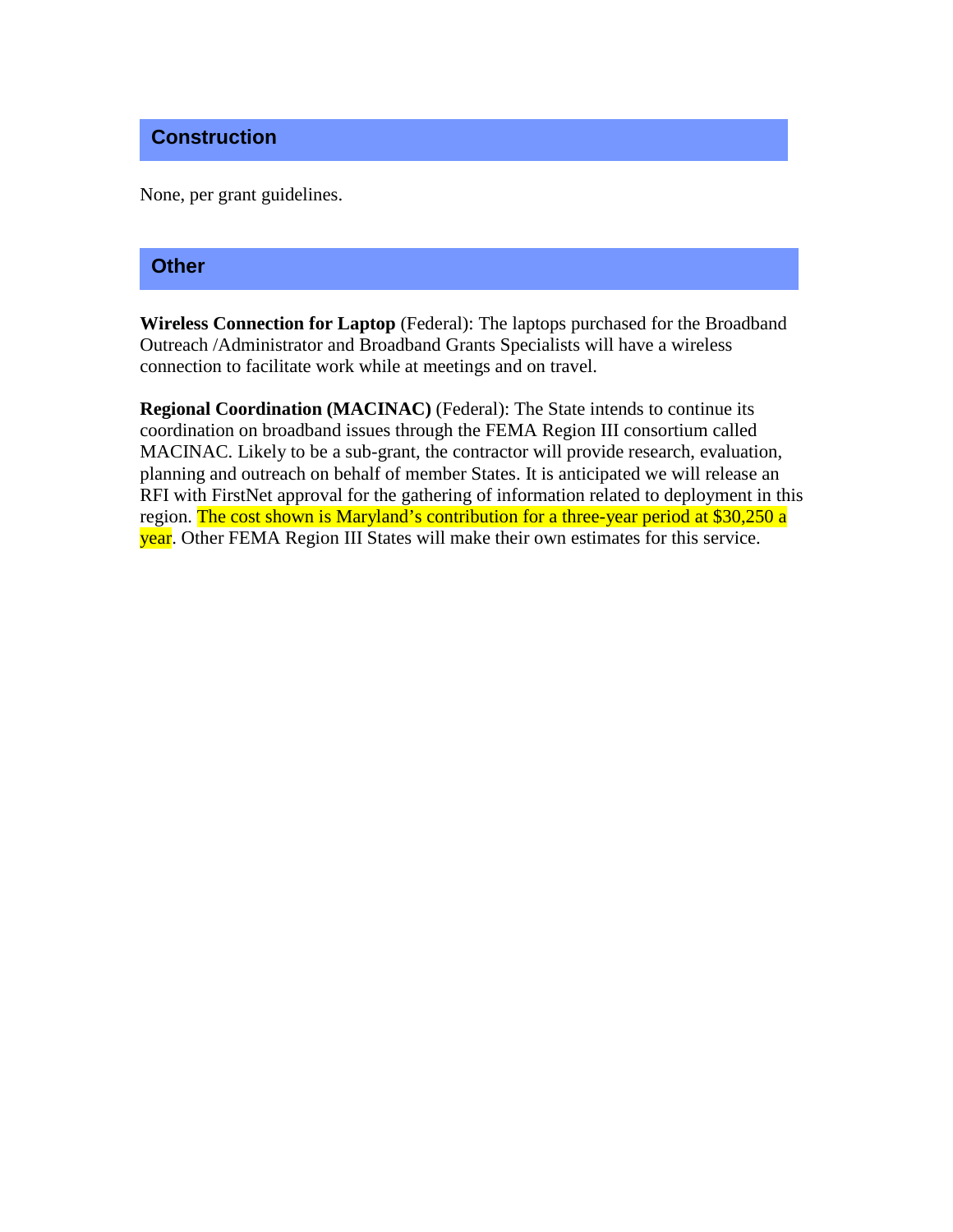### **Construction**

None, per grant guidelines.

### **Other**

**Wireless Connection for Laptop** (Federal): The laptops purchased for the Broadband Outreach /Administrator and Broadband Grants Specialists will have a wireless connection to facilitate work while at meetings and on travel.

**Regional Coordination (MACINAC)** (Federal): The State intends to continue its coordination on broadband issues through the FEMA Region III consortium called MACINAC. Likely to be a sub-grant, the contractor will provide research, evaluation, planning and outreach on behalf of member States. It is anticipated we will release an RFI with FirstNet approval for the gathering of information related to deployment in this region. The cost shown is Maryland's contribution for a three-year period at \$30,250 a year. Other FEMA Region III States will make their own estimates for this service.